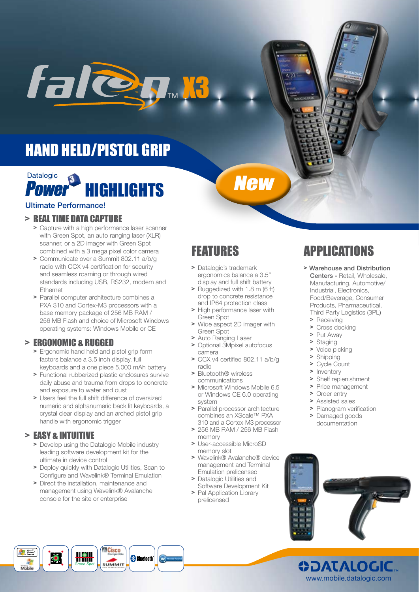

# HAND HELD/PISTOL GRIP



#### Ultimate Performance!

#### > REAL TIME DATA CAPTURE

- > Capture with a high performance laser scanner with Green Spot, an auto ranging laser (XLR) scanner, or a 2D imager with Green Spot combined with a 3 mega pixel color camera
- > Communicate over a Summit 802.11 a/b/g radio with CCX v4 certification for security and seamless roaming or through wired standards including USB, RS232, modem and Ethernet
- > Parallel computer architecture combines a PXA 310 and Cortex-M3 processors with a base memory package of 256 MB RAM / 256 MB Flash and choice of Microsoft Windows operating systems: Windows Mobile or CE

### > ERGONOMIC & RUGGED

- > Ergonomic hand held and pistol grip form factors balance a 3.5 inch display, full keyboards and a one piece 5,000 mAh battery
- > Functional rubberized plastic enclosures survive daily abuse and trauma from drops to concrete and exposure to water and dust
- > Users feel the full shift difference of oversized numeric and alphanumeric back lit keyboards, a crystal clear display and an arched pistol grip handle with ergonomic trigger

## > EASY & INTUITIVE

- > Develop using the Datalogic Mobile industry leading software development kit for the ultimate in device control
- > Deploy quickly with Datalogic Utilities, Scan to Configure and Wavelink® Terminal Emulation
- > Direct the installation, maintenance and management using Wavelink® Avalanche console for the site or enterprise

## FEATURES

> Datalogic's trademark ergonomics balance a 3.5" display and full shift battery

**New** 

- > Ruggedized with 1.8 m (6 ft) drop to concrete resistance and IP64 protection class
- > High performance laser with Green Spot
- Wide aspect 2D imager with Green Spot
- > Auto Ranging Laser
- > Optional 3Mpixel autofocus camera
- > CCX v4 certified 802.11 a/b/g radio
- > Bluetooth® wireless communications
- > Microsoft Windows Mobile 6.5 or Windows CE 6.0 operating system
- > Parallel processor architecture combines an XScale™ PXA 310 and a Cortex-M3 processor
- > 256 MB RAM / 256 MB Flash memory
- > User-accessible MicroSD memory slot
- > Wavelink® Avalanche® device management and Terminal Emulation prelicensed
- > Datalogic Utilities and Software Development Kit
- > Pal Application Library prelicensed

# APPLICATIONS

- > Warehouse and Distribution Centers - Retail, Wholesale, Manufacturing, Automotive/ Industrial, Electronics, Food/Beverage, Consumer Products, Pharmaceutical, Third Party Logistics (3PL)
	- > Receiving
	- Cross docking
	- > Put Away
	- > Staging<br>> Voice ni
	- Voice picking
	- $\geq$  Shipping  $\geq$  Cycle Co.
	- > Cycle Count<br>> Inventory
	- > Inventory<br>> Shelf repl
	- > Shelf replenishment
	- Price management
	- > Order entry
	- > Assisted sales
	- > Planogram verification
	- > Damaged goods documentation